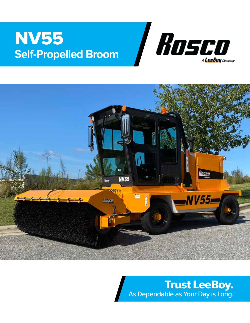# NV55 **Self-Propelled Broom**





Trust LeeBoy. As Dependable as Your Day is Long.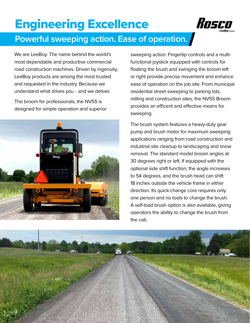# Engineering Excellence



### **Powerful sweeping action. Ease of operation.**

We are LeeBoy. The name behind the world's most dependable and productive commercial road construction machines. Driven by ingenuity, LeeBoy products are among the most trusted and requested in the industry. Because we understand what drives you - and we deliver.

The broom for professionals, the NV55 is designed for simple operation and superior



sweeping action. Fingertip controls and a multifunctional joystick equipped with controls for floating the brush and swinging the broom left or right provide precise movement and enhance ease of operation on the job site. From municipal residential street sweeping to parking lots, milling and construction sites, the NV55 Broom provides an efficent and effective means for sweeping.

The brush system features a heavy-duty gear pump and brush motor for maximum sweeping applications ranging from road construction and industrial site cleanup to landscaping and snow removal. The standard model broom angles at 30 degrees right or left. If equipped with the optional side shift function, the angle increases to 54 degrees, and the brush head can shift 18 inches outside the vehicle frame in either direction. Its quick-change core requires only one person and no tools to change the brush. A self-load brush option is also available, giving operators the ability to change the brush from the cab.

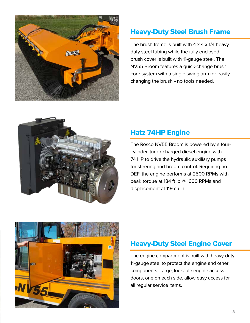

#### Heavy-Duty Steel Brush Frame

The brush frame is built with  $4 \times 4 \times 1/4$  heavy duty steel tubing while the fully enclosed brush cover is built with 11-gauge steel. The NV55 Broom features a quick-change brush core system with a single swing arm for easily changing the brush - no tools needed.



#### Hatz 74HP Engine

The Rosco NV55 Broom is powered by a fourcylinder, turbo-charged diesel engine with 74 HP to drive the hydraulic auxiliary pumps for steering and broom control. Requiring no DEF, the engine performs at 2500 RPMs with peak torque at 184 ft lb @ 1600 RPMs and displacement at 119 cu in.



#### Heavy-Duty Steel Engine Cover

The engine compartment is built with heavy-duty, 11-gauge steel to protect the engine and other components. Large, lockable engine access doors, one on each side, allow easy access for all regular service items.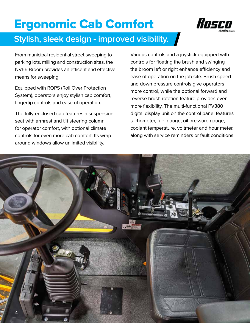# Ergonomic Cab Comfort



### **Stylish, sleek design - improved visibility.**

From municipal residential street sweeping to parking lots, milling and construction sites, the NV55 Broom provides an efficent and effective means for sweeping.

Equipped with ROPS (Roll Over Protection System), operators enjoy stylish cab comfort, fingertip controls and ease of operation.

The fully-enclosed cab features a suspension seat with armrest and tilt steering column for operator comfort, with optional climate controls for even more cab comfort. Its wraparound windows allow unlimited visibility.

Various controls and a joystick equipped with controls for floating the brush and swinging the broom left or right enhance efficiency and ease of operation on the job site. Brush speed and down pressure controls give operators more control, while the optional forward and reverse brush rotation feature provides even more flexibility. The multi-functional PV380 digital display unit on the control panel features tachometer, fuel gauge, oil pressure gauge, coolant temperature, voltmeter and hour meter, along with service reminders or fault conditions.

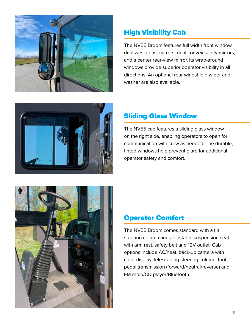

#### High Visibility Cab

The NV55 Broom features full width front window, dual west coast mirrors, dual convex safety mirrors, and a center rear-view mirror. Its wrap-around windows provide superior operator visibility in all directions. An optional rear windshield wiper and washer are also available.



#### Sliding Glass Window

The NV55 cab features a sliding glass window on the right side, enabling operators to open for communication with crew as needed. The durable, tinted windows help prevent glare for additional operator safety and comfort.



#### Operator Comfort

The NV55 Broom comes standard with a tilt steering column and adjustable suspension seat with arm rest, safety belt and 12V outlet. Cab options include AC/heat, back-up camera with color display, telescoping steering column, foot pedal transmission (forward/neutral/reverse) and FM radio/CD player/Bluetooth.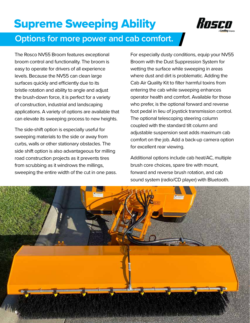## Supreme Sweeping Ability



### **Options for more power and cab comfort.**

The Rosco NV55 Broom features exceptional broom control and functionality. The broom is easy to operate for drivers of all experience levels. Because the NV55 can clean large surfaces quickly and efficiently due to its bristle rotation and ability to angle and adjust the brush-down force, it is perfect for a variety of construction, industrial and landscaping applications. A variety of options are available that can elevate its sweeping process to new heights.

The side-shift option is especially useful for sweeping materials to the side or away from curbs, walls or other stationary obstacles. The side shift option is also advantageous for milling road construction projects as it prevents tires from scrubbing as it windrows the millings, sweeping the entire width of the cut in one pass.

For especially dusty conditions, equip your NV55 Broom with the Dust Suppression System for wetting the surface while sweeping in areas where dust and dirt is problematic. Adding the Cab Air Quality Kit to filter harmful toxins from entering the cab while sweeping enhances operator health and comfort. Available for those who prefer, is the optional forward and reverse foot pedal in lieu of joystick transmission control. The optional telescoping steering column coupled with the standard tilt column and adjustable suspension seat adds maximum cab comfort on the job. Add a back-up camera option for excellent rear viewing.

Additional options include cab heat/AC, multiple brush core choices, spare tire with mount, forward and reverse brush rotation, and cab sound system (radio/CD player) with Bluetooth.

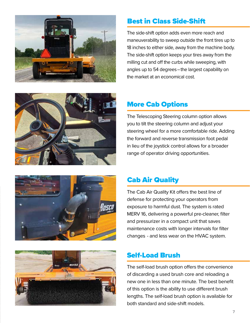







#### Best in Class Side-Shift

The side-shift option adds even more reach and maneuverability to sweep outside the front tires up to 18 inches to either side, away from the machine body. The side-shift option keeps your tires away from the milling cut and off the curbs while sweeping, with angles up to 54 degrees–the largest capability on the market at an economical cost.

#### More Cab Options

The Telescoping Steering column option allows you to tilt the steering column and adjust your steering wheel for a more comfortable ride. Adding the forward and reverse transmission foot pedal in lieu of the joystick control allows for a broader range of operator driving opportunities.

#### Cab Air Quality

The Cab Air Quality Kit offers the best line of defense for protecting your operators from exposure to harmful dust. The system is rated MERV 16, delivering a powerful pre-cleaner, filter and pressurizer in a compact unit that saves maintenance costs with longer intervals for filter changes - and less wear on the HVAC system.

#### Self-Load Brush

The self-load brush option offers the convenience of discarding a used brush core and reloading a new one in less than one minute. The best benefit of this option is the ability to use different brush lengths. The self-load brush option is available for both standard and side-shift models.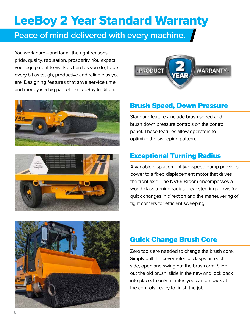# LeeBoy 2 Year Standard Warranty

### **Peace of mind delivered with every machine.**

You work hard–and for all the right reasons: pride, quality, reputation, prosperity. You expect your equipment to work as hard as you do, to be every bit as tough, productive and reliable as you are. Designing features that save service time and money is a big part of the LeeBoy tradition.







#### Brush Speed, Down Pressure

Standard features include brush speed and brush down pressure controls on the control panel. These features allow operators to optimize the sweeping pattern.

#### Exceptional Turning Radius

A variable displacement two-speed pump provides power to a fixed displacement motor that drives the front axle. The NV55 Broom encompasses a world-class turning radius - rear steering allows for quick changes in direction and the maneuvering of tight corners for efficient sweeping.



#### Quick Change Brush Core

Zero tools are needed to change the brush core. Simply pull the cover release clasps on each side, open and swing out the brush arm. Slide out the old brush, slide in the new and lock back into place. In only minutes you can be back at the controls, ready to finish the job.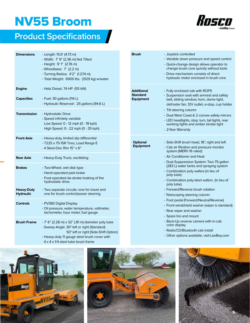## NV55 Broom

## **Product Specifications**



| <b>Dimensions</b>                     | - Length: 15.6' (4.73 m)<br>- Width: 7' 9" (2.36 m) Not Tilted<br>- Height: 9'1" (2.76 m)<br>- Wheelbase: 7' (2.2 m)<br>- Turning Radius: 4'2" (1.274 m)<br>- Total Weight: 6900 lbs. (3129 kg) w/water |
|---------------------------------------|---------------------------------------------------------------------------------------------------------------------------------------------------------------------------------------------------------|
| <b>Engine</b>                         | - Hatz Diesel, 74 HP (55 kW)                                                                                                                                                                            |
| <b>Capacities</b>                     | - Fuel: 30 gallons (114 L)<br>- Hydraulic Reservoir: 25 gallons (94.6 L)                                                                                                                                |
| <b>Transmission</b>                   | - Hydrostatic Drive<br>- Speed infinitely variable<br>Low Speed: 0 - 12 mph (0 - 19 kph)<br>High Speed: 0 - 22 mph (0 - 35 kph)                                                                         |
| <b>Front Axle</b>                     | - Heavy-duty, limited slip differential<br>- T225 x 75-15R Tires, Load Range E<br>-4 Steel-Disc Rim 15" x 6"                                                                                            |
| <b>Rear Axle</b>                      | - Heavy-Duty Truck, oscillating                                                                                                                                                                         |
| <b>Brakes</b>                         | - Two-Wheel, wet disk type<br>- Hand-operated park brake<br>- Foot-operated de-stroke braking of the<br>hydrostatic drive                                                                               |
| <b>Heavy-Duty</b><br><b>Hydraulic</b> | - Two separate circuits--one for travel and<br>one for brush control/power steering.                                                                                                                    |
| <b>Controls</b>                       | - PV380 Digital Display<br>- Oil pressure, water temperature, voltmeter,<br>tachometer, hour meter, fuel gauge                                                                                          |
| <b>Brush Frame</b>                    | - 7' 6" (2.28 m) x 32" (.81 m) diameter poly tube<br>- Sweep Angle: 30° left or right (Standard)<br>50° left or right (Side-Shift Option)<br>- Heavy-duty 11 gauge steel brush cover with               |

4 x 4 x 1/4 steel tube brush frame

| Brush                                      | - Joystick controlled<br>- Variable down pressure and speed control<br>- Quick-change design allows operator to<br>change brush core quickly without tools<br>- Drive mechanism consists of direct<br>hydraulic motor enclosed in brush core                                                                                                                                                                                                                                                                                                                                                                                                                                   |
|--------------------------------------------|--------------------------------------------------------------------------------------------------------------------------------------------------------------------------------------------------------------------------------------------------------------------------------------------------------------------------------------------------------------------------------------------------------------------------------------------------------------------------------------------------------------------------------------------------------------------------------------------------------------------------------------------------------------------------------|
| Additional<br>Standard<br><b>Equipment</b> | - Fully enclosed cab with ROPS<br>- Suspension seat with armrest and safety<br>belt, sliding window, horn, dome light,<br>defroster fan, 12V outlet, e-stop, cup holder<br>- Tilt steering column<br>- Dual West Coast & 2 convex safety mirrors<br>- LED headlights, stop, turn, tail lights, rear<br>working lights and amber strobe light<br>- 2-Year Warranty                                                                                                                                                                                                                                                                                                              |
| <b>Optional</b><br><b>Equipment</b>        | - Side-Shift brush head, 18", right and left<br>- Cab air filtration and pressure monitor<br>system (MERV 16 rated)<br>- Air Conditioner and Heat<br>- Dust Suppression System: Two 75-gallon<br>(283 L) water tanks and spraying system<br>- Combination poly wafers (in lieu of<br>poly tube)<br>- Combination poly-steel wafers (in lieu of<br>poly tube)<br>- Forward/Reverse brush rotation<br>- Telescoping steering column<br>- Foot pedal (Forward/Neutral/Reverse)<br>- Front windshield washer (wiper is standard)<br>- Rear wiper and washer<br>- Spare tire and mount<br>- Back-Up reverse camera with in-cab<br>color display<br>- Radio/CD/Bluetooth cab install |

- Other options available, visit LeeBoy.com